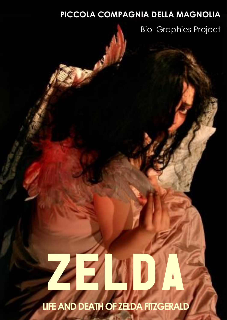### **PICCOLA COMPAGNIA DELLA MAGNOLIA**

Bio\_Graphies Project

# 37

**ZELAND DEATH OF ZELDA FITZGERALD LIFE AND DEATH OF ZELDA FITZGERALD**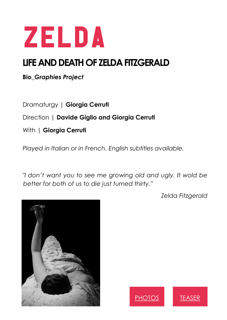

# **LEARET CONSUMING THE AND DEATH OF ZELDA FITZGERALD**

**Bio\_***Graphies Project* 

Dramaturgy | **Giorgia Cerruti**

Direction | **Davide Giglio and Giorgia Cerruti**

With | **Giorgia Cerruti**

*Played in Italian or in French. English subtitles available.*

*"I don't want you to see me growing old and ugly. It wold be better for both of us to die just turned thirty."* 

*Zelda Fitzgerald*





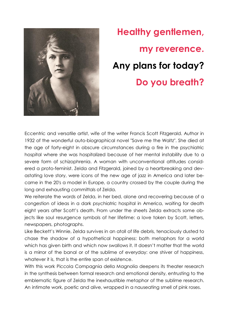

# **Healthy gentlemen, my reverence. Any plans for today? Do you breath?**

Eccentric and versatile artist, wife of the writer Francis Scott Fitzgerald. Author in 1932 of the wonderful auto-biographical novel "Save me the Waltz". She died at the age of forty-eight in obscure circumstances during a fire in the psychiatric hospital where she was hospitalized because of her mental instability due to a severe form of schizophrenia. A woman with unconventional attitudes considered a proto-feminist. Zelda and Fitzgerald, joined by a heartbreaking and devastating love story, were icons of the new age of jazz in America and later became in the 20's a model in Europe, a country crossed by the couple during the long and exhausting committals of Zelda.

We reiterate the words of Zelda, in her bed, alone and recovering because of a congestion of ideas in a dark psychiatric hospital in America, waiting for death eight years after Scott's death. From under the sheets Zelda extracts some objects like soul resurgence symbols of her lifetime: a love token by Scott, letters, newspapers, photographs.

Like Beckett's Winnie, Zelda survives in an atoll of life debris, tenaciously dusted to chase the shadow of a hypothetical happiness: both metaphors for a world which has given birth and which now swallows it. It doesn't matter that the world is a mirror of the banal or of the sublime of everyday: one shiver of happiness, whatever it is, that is the entire span of existence.

With this work Piccola Compagnia della Magnolia deepens its theater research in the synthesis between formal research and emotional density, entrusting to the emblematic figure of Zelda the inexhaustible metaphor of the sublime research. An intimate work, poetic and alive, wrapped in a nauseating smell of pink roses.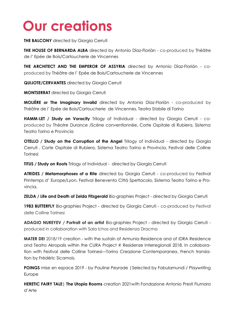# **Our creations**

**THE BALCONY** directed by Giorgia Cerruti

**THE HOUSE OF BERNARDA ALBA** directed by Antonio Dìaz-Floriàn - co-produced by Théâtre de l' Epée de Bois/Cartoucherie de Vincennes

**THE ARCHITECT AND THE EMPEROR OF ASSYRIA** directed by Antonio Dìaz-Floriàn - coproduced by Théâtre de l' Epée de Bois/Cartoucherie de Vincennes

**QUIJOTE/CERVANTES** directed by Giorgia Cerruti

**MONTSERRAT** directed by Giorgia Cerruti

**MOLIÈRE or The Imaginary Invalid** directed by Antonio Dìaz-Floriàn - co-produced by Théâtre de l' Epée de Bois/Cartoucherie de Vincennes, Teatro Stabile di Torino

**HAMM-LET / Study on Voracity** Trilogy of Individual - directed by Giorgia Cerruti - coproduced by Théatre Durance /Scène conventionnée, Corte Ospitale di Rubiera, Sistema Teatro Torino e Provincia

**OTELLO / Study on the Corruption of the Angel** Trilogy of Individual - directed by Giorgia Cerruti , Corte Ospitale di Rubiera, Sistema Teatro Torino e Provincia, Festival delle Colline Torinesi

**TITUS / Study on Roots** Trilogy of Individual - directed by Giorgia Cerruti

**ATRIDES / Metamorphoses of a Rite** directed by Giorgia Cerruti - co-produced by Festival Printemps d' Europe/Lyon, Festival Benevento Città Spettacolo, Sistema Teatro Torino e Provincia**.**

**ZELDA / Life and Death of Zelda Fitzgerald** Bio-graphies Project - directed by Giorgia Cerruti

1983 **BUTTERFLY** Bio-graphies Project - directed by Giorgia Cerruti - co-produced by Festival delle Colline Torinesi

**ADAGIO NUREYEV / Portrait of an artist** Bio-graphies Project - directed by Giorgia Cerruti produced in collaboration with Sala Ichos and Residenza Dracma

**MATER DEI** 2018/19 creation - with the sustain of Armunia Residence and of IDRA Residence and Teatro Akropolis within the CURA Project # Residenze Interregionali 2018. In collaboration with Festival delle Colline Torinesi—Torino Creazione Contemporanea. French translation by Frédéric Sicamois.

**POINGS** mise en espace 2019 - by Pauline Peyrade | Selected by Fabulamundi / Playwriting Europe

**HERETIC FAIRY TALE| The Utopia Rooms** creation 2021with Fondazione Antonio Presti Fiumara d'Arte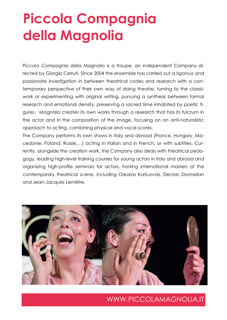# **Piccola Compagnia della Magnolia**

Piccola Compagnia della Magnolia is a troupe, an independent Company directed by Giorgia Cerruti. Since 2004 the ensemble has carried out a rigorous and passionate investigation in between theatrical codes and research with a contemporary perspective of their own way of doing theatre, turning to the classic work or experimenting with original writing, pursuing a synthesis between formal research and emotional density, preserving a sacred time inhabited by poetic figures. Magnolia creates its own works through a research that has its fulcrum in the actor and in the composition of the image, focusing on an anti-naturalistic approach to acting, combining physical and vocal scores.

The Company performs its own shows in Italy and abroad (France, Hungary, Macedonie, Poland, Russie,…) acting in Italian and in French, or with subtitles. Currently, alongside the creation work, the Company also deals with theatrical pedagogy, leading high-level training courses for young actors in Italy and abroad and organizing high-profile seminars for actors, hosting international masters of the contemporary theatrical scene, including Oskaras Koršuovas, Declan Donnellan and Jean-Jacques Lemêtre.



[WWW.PICCOLAMAGNOLIA.IT](http://www.piccolamagnolia.it/index.htm)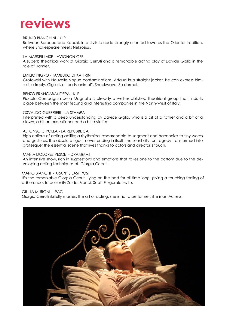# **reviews**

#### BRUNO BIANCHINI - KLP

Between Baroque and Kabuki, in a stylistic code strongly oriented towards the Oriental tradition, where Shakespeare meets Nekrosius.

#### LA MARSEILLAISE - AVIGNON OFF

A superb theatrical work of Giorgia Cerruti and a remarkable acting play of Davide Giglio in the role of Hamlet.

#### EMILIO NIGRO - TAMBURO DI KATTRIN

Grotowski with Nouvelle Vague contaminations. Artaud in a straight jacket, he can express himself so freely. Giglio is a "party animal". Shockwave. So dermal.

#### RENZO FRANCABANDERA - KLP

Piccola Compagnia della Magnolia is already a well-established theatrical group that finds its place between the most fecund and interesting companies in the North-West of Italy.

#### OSVALDO GUERRIERI - LA STAMPA

Interpreted with a deep understanding by Davide Giglio, who is a bit of a father and a bit of a clown, a bit an executioner and a bit a victim.

#### ALFONSO CIPOLLA - LA REPUBBLICA

high calibre of acting ability; a rhythmical researchable to segment and harmonize to tiny words and gestures; the absolute rigour never ending in itself; the sensibility for tragedy transformed into grotesque; the essential scene that lives thanks to actors and director's touch.

#### MARIA DOLORES PESCE - DRAMMA.IT

An intensive show, rich in suggestions and emotions that takes one to the bottom due to the developing acting techniques of Giorgia Cerruti.

#### MARIO BIANCHI - KRAPP'S LAST POST

It's the remarkable Giorgia Cerruti, lying on the bed for all time long, giving a touching feeling of adherence, to personify Zelda, Francis Scott Fitzgerald'swife.

#### GIULIA MURONI - PAC

Giorgia Cerruti skilfully masters the art of acting: she is not a performer, she is an Actress.